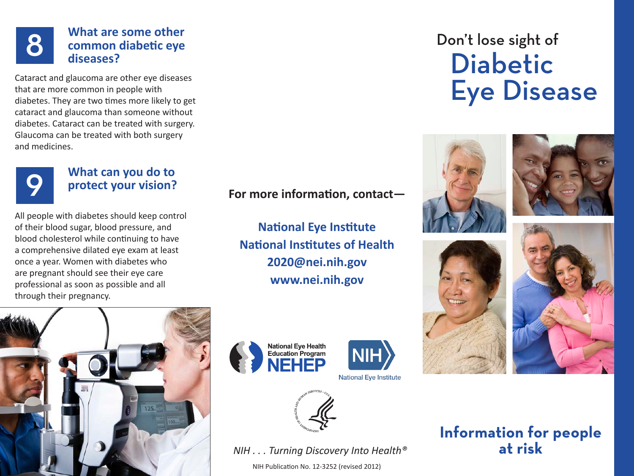# What are some other<br>
common diabetic eye<br>
diseases? **common diabetic eye diseases?**

Cataract and glaucoma are other eye diseases that are more common in people with diabetes. They are two times more likely to get cataract and glaucoma than someone without diabetes. Cataract can be treated with surgery. Glaucoma can be treated with both surgery and medicines.



# **9 What can you do to protect your vision? protect your vision?**

All people with diabetes should keep control of their blood sugar, blood pressure, and blood cholesterol while continuing to have a comprehensive dilated eye exam at least once a year. Women with diabetes who are pregnant should see their eye care professional as soon as possible and all through their pregnancy.

**For more information, contact—**

**National Eye Institute National Institutes of Health [2020@nei.nih.gov](mailto:2020@nei.nih.gov) <www.nei.nih.gov>**





**National Eye Institute** 



*NIH . . . Turning Discovery Into Health®*

NIH Publication No. 12-3252 (revised 2012)

# Don't lose sight of Diabetic Eye Disease